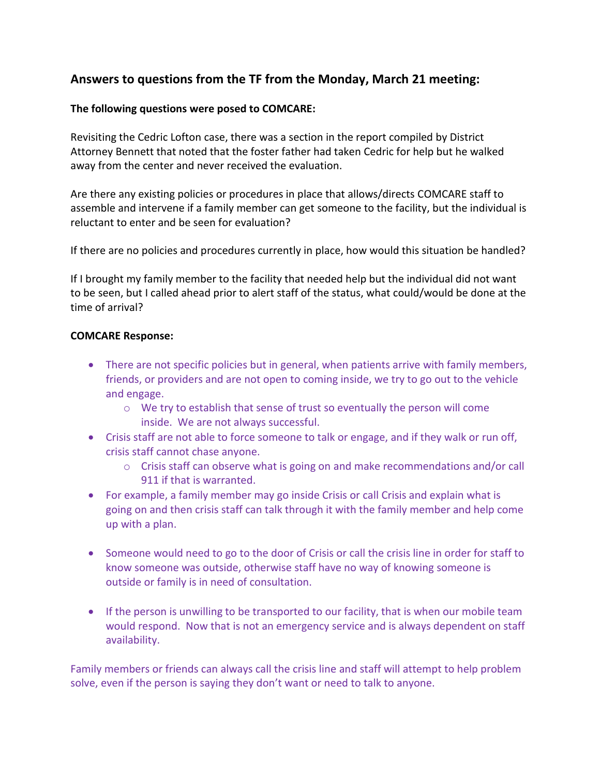# **Answers to questions from the TF from the Monday, March 21 meeting:**

## **The following questions were posed to COMCARE:**

Revisiting the Cedric Lofton case, there was a section in the report compiled by District Attorney Bennett that noted that the foster father had taken Cedric for help but he walked away from the center and never received the evaluation.

Are there any existing policies or procedures in place that allows/directs COMCARE staff to assemble and intervene if a family member can get someone to the facility, but the individual is reluctant to enter and be seen for evaluation?

If there are no policies and procedures currently in place, how would this situation be handled?

If I brought my family member to the facility that needed help but the individual did not want to be seen, but I called ahead prior to alert staff of the status, what could/would be done at the time of arrival?

### **COMCARE Response:**

- There are not specific policies but in general, when patients arrive with family members, friends, or providers and are not open to coming inside, we try to go out to the vehicle and engage.
	- o We try to establish that sense of trust so eventually the person will come inside. We are not always successful.
- Crisis staff are not able to force someone to talk or engage, and if they walk or run off, crisis staff cannot chase anyone.
	- $\circ$  Crisis staff can observe what is going on and make recommendations and/or call 911 if that is warranted.
- For example, a family member may go inside Crisis or call Crisis and explain what is going on and then crisis staff can talk through it with the family member and help come up with a plan.
- Someone would need to go to the door of Crisis or call the crisis line in order for staff to know someone was outside, otherwise staff have no way of knowing someone is outside or family is in need of consultation.
- If the person is unwilling to be transported to our facility, that is when our mobile team would respond. Now that is not an emergency service and is always dependent on staff availability.

Family members or friends can always call the crisis line and staff will attempt to help problem solve, even if the person is saying they don't want or need to talk to anyone.